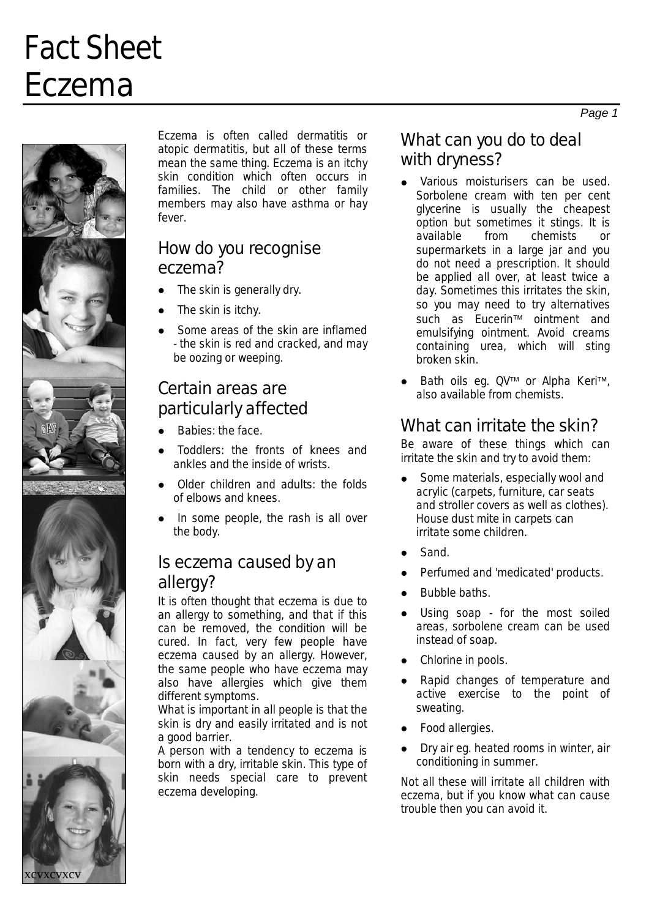# Fact Sheet Eczema



**xcvxcv** 

Eczema is often called dermatitis or atopic dermatitis, but all of these terms mean the same thing. Eczema is an itchy skin condition which often occurs in families. The child or other family members may also have asthma or hay fever.

#### How do you recognise eczema?

- $\bullet$ The skin is generally dry.
- $\bullet$ The skin is itchy.
- $\bullet$ Some areas of the skin are inflamed - the skin is red and cracked, and may be oozing or weeping.

### Certain areas are particularly affected

- $\bullet$ Babies: the face.
- $\bullet$ Toddlers: the fronts of knees and ankles and the inside of wrists.
- $\bullet$ Older children and adults: the folds of elbows and knees.
- $\bullet$ In some people, the rash is all over the body.

### Is eczema caused by an allergy?

It is often thought that eczema is due to an allergy to something, and that if this can be removed, the condition will be cured. In fact, very few people have eczema caused by an allergy. However, the same people who have eczema may also have allergies which give them different symptoms.

What is important in all people is that the skin is dry and easily irritated and is not a good barrier.

A person with a tendency to eczema is born with a dry, irritable skin. This type of skin needs special care to prevent eczema developing.

### What can you do to deal with dryness?

- $\bullet$ Various moisturisers can be used. Sorbolene cream with ten per cent glycerine is usually the cheapest option but sometimes it stings. It is available from chemists or supermarkets in a large jar and you do not need a prescription. It should be applied all over, at least twice a day. Sometimes this irritates the skin, so you may need to try alternatives such as Eucerin™ ointment and emulsifying ointment. Avoid creams containing urea, which will sting broken skin.
- $\bullet$ Bath oils eg. QV™ or Alpha Keri™, also available from chemists.

### What can irritate the skin?

Be aware of these things which can irritate the skin and try to avoid them:

- $\bullet$ Some materials, especially wool and acrylic (carpets, furniture, car seats and stroller covers as well as clothes). House dust mite in carpets can irritate some children.
- $\bullet$ Sand.
- $\bullet$ Perfumed and 'medicated' products.
- $\bullet$ Bubble baths.
- $\bullet$ Using soap - for the most soiled areas, sorbolene cream can be used instead of soap.
- Chlorine in pools.
- Rapid changes of temperature and active exercise to the point of sweating.
- $\bullet$ Food allergies.
- $\bullet$ Dry air eg. heated rooms in winter, air conditioning in summer.

Not all these will irritate all children with eczema, but if you know what can cause trouble then you can avoid it.